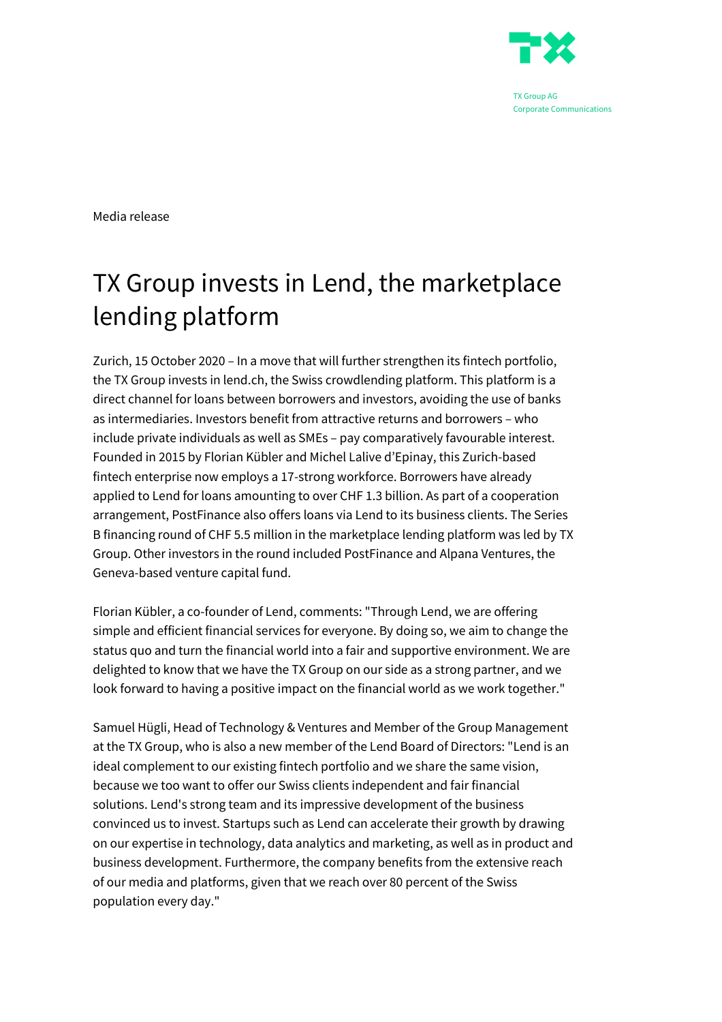

Media release

## TX Group invests in Lend, the marketplace lending platform

Zurich, 15 October 2020 – In a move that will further strengthen its fintech portfolio, the TX Group invests in lend.ch, the Swiss crowdlending platform. This platform is a direct channel for loans between borrowers and investors, avoiding the use of banks as intermediaries. Investors benefit from attractive returns and borrowers – who include private individuals as well as SMEs – pay comparatively favourable interest. Founded in 2015 by Florian Kübler and Michel Lalive d'Epinay, this Zurich-based fintech enterprise now employs a 17-strong workforce. Borrowers have already applied to Lend for loans amounting to over CHF 1.3 billion. As part of a cooperation arrangement, PostFinance also offers loans via Lend to its business clients. The Series B financing round of CHF 5.5 million in the marketplace lending platform was led by TX Group. Other investors in the round included PostFinance and Alpana Ventures, the Geneva-based venture capital fund.

Florian Kübler, a co-founder of Lend, comments: "Through Lend, we are offering simple and efficient financial services for everyone. By doing so, we aim to change the status quo and turn the financial world into a fair and supportive environment. We are delighted to know that we have the TX Group on our side as a strong partner, and we look forward to having a positive impact on the financial world as we work together."

Samuel Hügli, Head of Technology & Ventures and Member of the Group Management at the TX Group, who is also a new member of the Lend Board of Directors: "Lend is an ideal complement to our existing fintech portfolio and we share the same vision, because we too want to offer our Swiss clients independent and fair financial solutions. Lend's strong team and its impressive development of the business convinced us to invest. Startups such as Lend can accelerate their growth by drawing on our expertise in technology, data analytics and marketing, as well as in product and business development. Furthermore, the company benefits from the extensive reach of our media and platforms, given that we reach over 80 percent of the Swiss population every day."